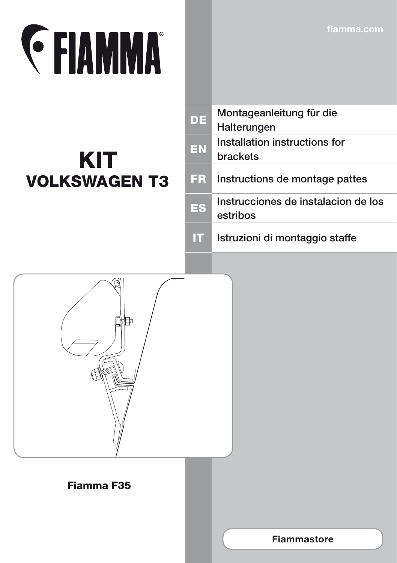**fiamma.com**

# **EXAMMA**

### KIT VOLKSWAGEN T3

| <b>DE</b> | Montageanleitung für die<br>Halterungen          |
|-----------|--------------------------------------------------|
| EN        | Installation instructions for<br><b>brackets</b> |
| ER.       | Instructions de montage pattes                   |
| ES        | Instrucciones de instalacion de los<br>estribos  |
|           |                                                  |

IT Istruzioni di montaggio staffe



#### Fiamma F35

**Fiammastore**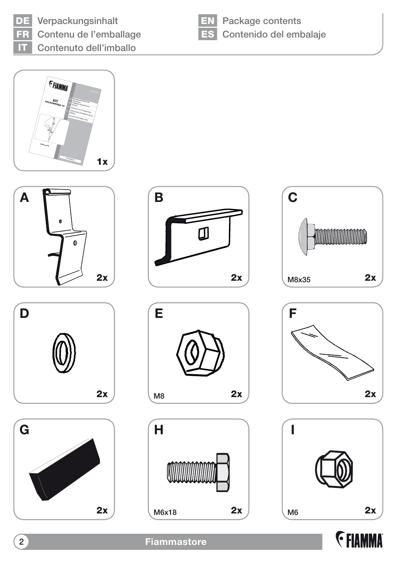

DE Verpackungsinhalt FR Contenu de l'emballage IT Contenuto dell'imballo



**EN** Package contents ES Contenido del embalaje























**2 Fiammastore**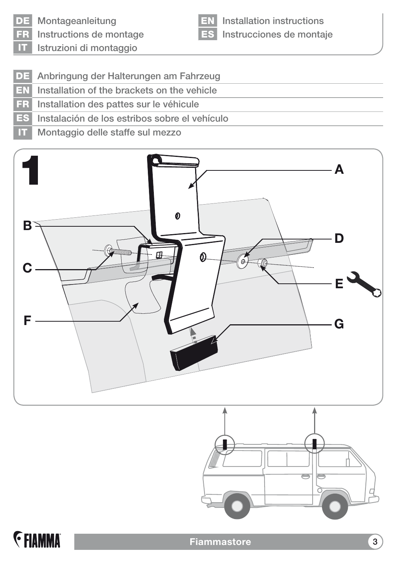DE Montageanleitung

FR Instructions de montage

EN Installation instructions ES Instrucciones de montaje

IT Istruzioni di montaggio

- DE Anbringung der Halterungen am Fahrzeug
- EN Installation of the brackets on the vehicle
- FR Installation des pattes sur le véhicule
- ES Instalación de los estribos sobre el vehículo
- IT Montaggio delle staffe sul mezzo





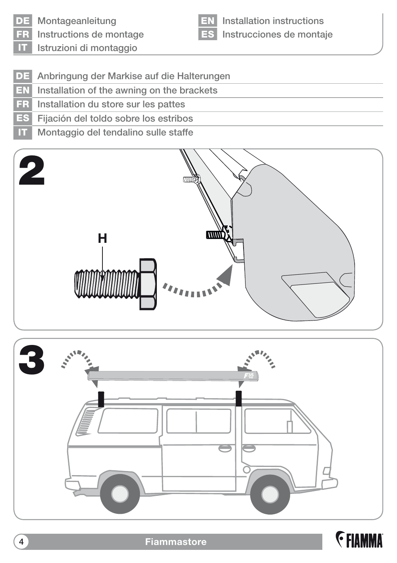

DE Montageanleitung

Instructions de montage IT Istruzioni di montaggio

EN Installation instructions ES Instrucciones de montaje

- DE Anbringung der Markise auf die Halterungen
- EN Installation of the awning on the brackets
- FR Installation du store sur les pattes
- ES Fijación del toldo sobre los estribos
- IT Montaggio del tendalino sulle staffe





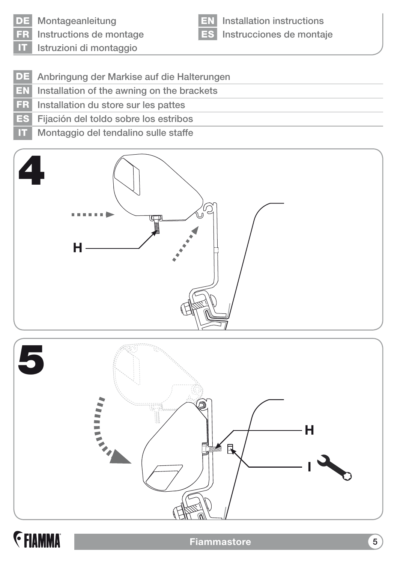

DE Montageanleitung

Instructions de montage Istruzioni di montaggio

Installation instructions ES Instrucciones de montaje

- DE Anbringung der Markise auf die Halterungen
- EN Installation of the awning on the brackets
- FR Installation du store sur les pattes
- ES Fijación del toldo sobre los estribos
- **IT** Montaggio del tendalino sulle staffe





## **E** FIAMMA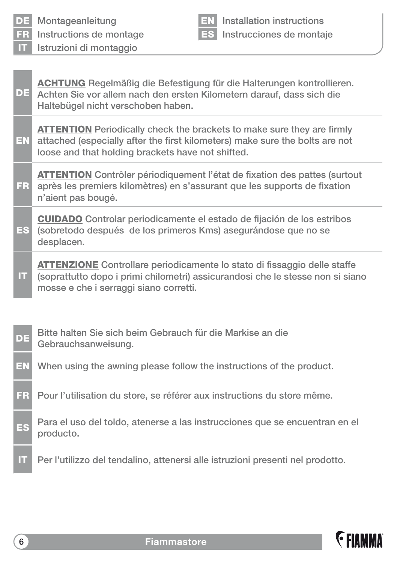| DE           | Montageanleitung                                                                                                                                                                                                   |           | <b>EN</b> Installation instructions |
|--------------|--------------------------------------------------------------------------------------------------------------------------------------------------------------------------------------------------------------------|-----------|-------------------------------------|
| <b>FR</b>    | Instructions de montage                                                                                                                                                                                            | <b>ES</b> | Instrucciones de montaje            |
| $\mathbf{H}$ | Istruzioni di montaggio                                                                                                                                                                                            |           |                                     |
| DE           | <b>ACHTUNG</b> Regelmäßig die Befestigung für die Halterungen kontrollieren.<br>Achten Sie vor allem nach den ersten Kilometern darauf, dass sich die<br>Haltebügel nicht verschoben haben.                        |           |                                     |
| <b>EN</b>    | <b>ATTENTION</b> Periodically check the brackets to make sure they are firmly<br>attached (especially after the first kilometers) make sure the bolts are not<br>loose and that holding brackets have not shifted. |           |                                     |
| <b>FR</b>    | <b>ATTENTION</b> Contrôler périodiquement l'état de fixation des pattes (surtout<br>après les premiers kilomètres) en s'assurant que les supports de fixation<br>n'aient pas bougé.                                |           |                                     |
| <b>ES</b>    | <b>CUIDADO</b> Controlar periodicamente el estado de fijación de los estribos<br>(sobretodo después de los primeros Kms) asegurándose que no se<br>desplacen.                                                      |           |                                     |
| π            | <b>ATTENZIONE</b> Controllare periodicamente lo stato di fissaggio delle staffe<br>(soprattutto dopo i primi chilometri) assicurandosi che le stesse non si siano<br>mosse e che i serraggi siano corretti.        |           |                                     |
| DE           | Bitte halten Sie sich beim Gebrauch für die Markise an die<br>Gebrauchsanweisung.                                                                                                                                  |           |                                     |
| EN           | When using the awning please follow the instructions of the product.                                                                                                                                               |           |                                     |
| FR           | Pour l'utilisation du store, se référer aux instructions du store même.                                                                                                                                            |           |                                     |

- ES Para el uso del toldo, atenerse a las instrucciones que se encuentran en el producto.
- IT Per l'utilizzo del tendalino, attenersi alle istruzioni presenti nel prodotto.

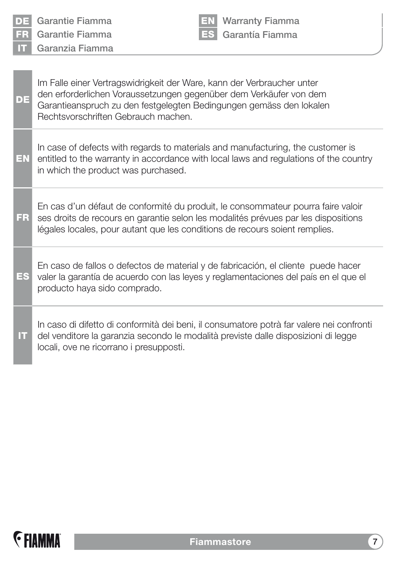| DE<br><b>FR</b><br>m | Garantie Fiamma<br><b>Warranty Fiamma</b><br>Garantía Fiamma<br>Garantie Fiamma<br>Garanzia Fiamma                                                                                                                                                         |
|----------------------|------------------------------------------------------------------------------------------------------------------------------------------------------------------------------------------------------------------------------------------------------------|
| DE                   | Im Falle einer Vertragswidrigkeit der Ware, kann der Verbraucher unter<br>den erforderlichen Voraussetzungen gegenüber dem Verkäufer von dem<br>Garantieanspruch zu den festgelegten Bedingungen gemäss den lokalen<br>Rechtsvorschriften Gebrauch machen. |
| EN                   | In case of defects with regards to materials and manufacturing, the customer is<br>entitled to the warranty in accordance with local laws and regulations of the country<br>in which the product was purchased.                                            |
| FR                   | En cas d'un défaut de conformité du produit, le consommateur pourra faire valoir<br>ses droits de recours en garantie selon les modalités prévues par les dispositions<br>légales locales, pour autant que les conditions de recours soient remplies.      |
| ES                   | En caso de fallos o defectos de material y de fabricación, el cliente puede hacer<br>valer la garantía de acuerdo con las leyes y reglamentaciones del país en el que el<br>producto haya sido comprado.                                                   |
| П                    | In caso di difetto di conformità dei beni, il consumatore potrà far valere nei confronti<br>del venditore la garanzia secondo le modalità previste dalle disposizioni di legge<br>locali, ove ne ricorrano i presupposti.                                  |